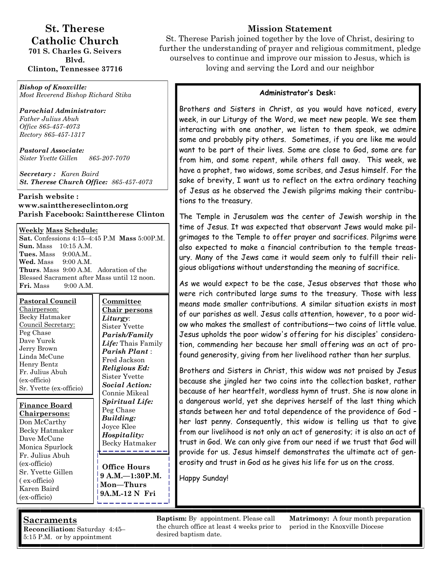## **St. Therese Catholic Church**

**701 S. Charles G. Seivers Blvd. Clinton, Tennessee 37716** 

*Bishop of Knoxville: Most Reverend Bishop Richard Stika*

*Parochial Administrator: Father Julius Abuh Office 865-457-4073* 

*Rectory 865-457-1317* 

*Pastoral Associate: Sister Yvette Gillen 865-207-7070* 

*Secretary : Karen Baird St. Therese Church Office: 865-457-4073*

#### **Parish website : www.saintthereseclinton.org Parish Facebook: Sainttherese Clinton**

#### **Weekly Mass Schedule:**

**Sat.** Confessions 4:15–4:45 P.M **Mass** 5:00P.M. **Sun.** Mass 10:15 A.M. **Tues.** Mass 9:00A.M.. **Wed.** Mass 9:00 A.M. **Thurs**. Mass 9:00 A.M. Adoration of the Blessed Sacrament after Mass until 12 noon. **Fri.** Mass 9:00 A.M.

| <b>Pastoral Council</b> |  |  |  |  |
|-------------------------|--|--|--|--|
| Chairperson:            |  |  |  |  |
| Becky Hatmaker          |  |  |  |  |
| Council Secretary:      |  |  |  |  |
| Peg Chase               |  |  |  |  |
| Dave Yurek              |  |  |  |  |
| Jerry Brown             |  |  |  |  |
| Linda McCune            |  |  |  |  |
| Henry Bentz             |  |  |  |  |
| Fr. Julius Abuh         |  |  |  |  |
| (ex-officio)            |  |  |  |  |
| Sr. Yvette (ex-officio) |  |  |  |  |

**Finance Board Chairpersons:**  Don McCarthy Becky Hatmaker Dave McCune Monica Spurlock Fr. Julius Abuh (ex-officio) Sr. Yvette Gillen ( ex-officio) Karen Baird (ex-officio)

**Committee Chair persons**  *Liturgy*: Sister Yvette *Parish/Family Life:* Thais Family *Parish Plant* : Fred Jackson *Religious Ed:*  Sister Yvette *Social Action:*  Connie Mikeal *Spiritual Life:*  Peg Chase *Building:*  Joyce Klee *Hospitality:*  Becky Hatmaker --------

**Office Hours 9 A.M.—1:30P.M. Mon—Thurs 9A.M.-12 N Fri**

## **Mission Statement**

St. Therese Parish joined together by the love of Christ, desiring to further the understanding of prayer and religious commitment, pledge ourselves to continue and improve our mission to Jesus, which is loving and serving the Lord and our neighbor

#### **Administrator's Desk:**

Brothers and Sisters in Christ, as you would have noticed, every week, in our Liturgy of the Word, we meet new people. We see them interacting with one another, we listen to them speak, we admire some and probably pity others. Sometimes, if you are like me would want to be part of their lives. Some are close to God, some are far from him, and some repent, while others fall away. This week, we have a prophet, two widows, some scribes, and Jesus himself. For the sake of brevity, I want us to reflect on the extra ordinary teaching of Jesus as he observed the Jewish pilgrims making their contributions to the treasury.

The Temple in Jerusalem was the center of Jewish worship in the time of Jesus. It was expected that observant Jews would make pilgrimages to the Temple to offer prayer and sacrifices. Pilgrims were also expected to make a financial contribution to the temple treasury. Many of the Jews came it would seem only to fulfill their religious obligations without understanding the meaning of sacrifice.

As we would expect to be the case, Jesus observes that those who were rich contributed large sums to the treasury. Those with less means made smaller contributions. A similar situation exists in most of our parishes as well. Jesus calls attention, however, to a poor widow who makes the smallest of contributions—two coins of little value. Jesus upholds the poor widow's offering for his disciples' consideration, commending her because her small offering was an act of profound generosity, giving from her livelihood rather than her surplus.

Brothers and Sisters in Christ, this widow was not praised by Jesus because she jingled her two coins into the collection basket, rather because of her heartfelt, wordless hymn of trust. She is now alone in a dangerous world, yet she deprives herself of the last thing which stands between her and total dependence of the providence of God – her last penny. Consequently, this widow is telling us that to give from our livelihood is not only an act of generosity; it is also an act of trust in God. We can only give from our need if we trust that God will provide for us. Jesus himself demonstrates the ultimate act of generosity and trust in God as he gives his life for us on the cross.

Happy Sunday!

## **Sacraments**

**Reconciliation:** Saturday 4:45– 5:15 P.M. or by appointment

**Baptism:** By appointment. Please call the church office at least 4 weeks prior to desired baptism date.

**Matrimony:** A four month preparation period in the Knoxville Diocese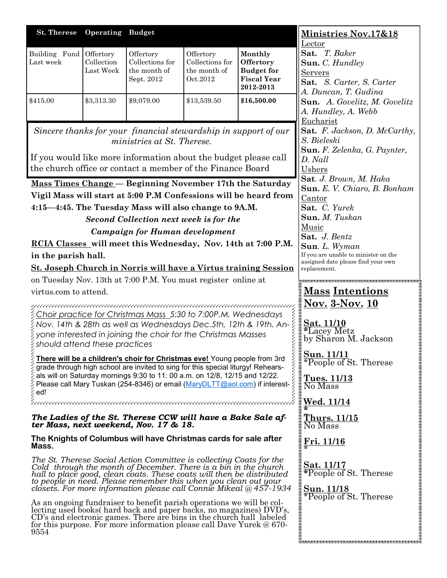| <b>St. Therese</b>                                                                                         | <b>Operating Budget</b> |                                                                                                                                                                                                                                                                                                                                                                                                                                                                                                                                                                                                                                                                                                                                                                                                                                                                                                                                                                                                                                                                                                                                                                                                                                                                                                                                                                                                                                                                                                                                                                                                                                                                                                                                                                                                                                                                                                                                                                                                                                                                                                                                          |                                                          |                                                                              | <b>Ministries Nov.17&amp;18</b>                                                                                                                                                                                                                                                                                                                                                                                                                                                                                                                                                                                                                                                                                                      |
|------------------------------------------------------------------------------------------------------------|-------------------------|------------------------------------------------------------------------------------------------------------------------------------------------------------------------------------------------------------------------------------------------------------------------------------------------------------------------------------------------------------------------------------------------------------------------------------------------------------------------------------------------------------------------------------------------------------------------------------------------------------------------------------------------------------------------------------------------------------------------------------------------------------------------------------------------------------------------------------------------------------------------------------------------------------------------------------------------------------------------------------------------------------------------------------------------------------------------------------------------------------------------------------------------------------------------------------------------------------------------------------------------------------------------------------------------------------------------------------------------------------------------------------------------------------------------------------------------------------------------------------------------------------------------------------------------------------------------------------------------------------------------------------------------------------------------------------------------------------------------------------------------------------------------------------------------------------------------------------------------------------------------------------------------------------------------------------------------------------------------------------------------------------------------------------------------------------------------------------------------------------------------------------------|----------------------------------------------------------|------------------------------------------------------------------------------|--------------------------------------------------------------------------------------------------------------------------------------------------------------------------------------------------------------------------------------------------------------------------------------------------------------------------------------------------------------------------------------------------------------------------------------------------------------------------------------------------------------------------------------------------------------------------------------------------------------------------------------------------------------------------------------------------------------------------------------|
| Building Fund Offertory<br>Last week                                                                       | Collection<br>Last Week | Offertory<br>Collections for<br>the month of<br>Sept. 2012                                                                                                                                                                                                                                                                                                                                                                                                                                                                                                                                                                                                                                                                                                                                                                                                                                                                                                                                                                                                                                                                                                                                                                                                                                                                                                                                                                                                                                                                                                                                                                                                                                                                                                                                                                                                                                                                                                                                                                                                                                                                               | Offertory<br>Collections for<br>the month of<br>Oct.2012 | Monthly<br>Offertory<br><b>Budget</b> for<br><b>Fiscal Year</b><br>2012-2013 | Lector<br>Sat. T. Baker<br>Sun. C. Hundley<br><b>Servers</b><br>Sat. S. Carter, S. Carter<br>A. Duncan, T. Gudina                                                                                                                                                                                                                                                                                                                                                                                                                                                                                                                                                                                                                    |
| \$415.00                                                                                                   | \$3,313.30              | \$9,079.00                                                                                                                                                                                                                                                                                                                                                                                                                                                                                                                                                                                                                                                                                                                                                                                                                                                                                                                                                                                                                                                                                                                                                                                                                                                                                                                                                                                                                                                                                                                                                                                                                                                                                                                                                                                                                                                                                                                                                                                                                                                                                                                               | \$13,539.50                                              | \$16,500.00                                                                  | Sun. A. Govelitz, M. Govelitz<br>A. Hundley, A. Webb                                                                                                                                                                                                                                                                                                                                                                                                                                                                                                                                                                                                                                                                                 |
| in the parish hall.<br>virtus.com to attend.<br>$\,$ should attend these practices<br>ed!<br>Mass.<br>9554 |                         | Sincere thanks for your financial stewardship in support of our<br>ministries at St. Therese.<br>If you would like more information about the budget please call<br>the church office or contact a member of the Finance Board<br>Mass Times Change - Beginning November 17th the Saturday<br>Vigil Mass will start at 5:00 P.M Confessions will be heard from<br>4:15-4:45. The Tuesday Mass will also change to 9A.M.<br>Second Collection next week is for the<br><b>Campaign for Human development</b><br>RCIA Classes will meet this Wednesday, Nov. 14th at 7:00 P.M.<br><b>St. Joseph Church in Norris will have a Virtus training Session</b><br>on Tuesday Nov. 13th at 7:00 P.M. You must register online at<br>Choir practice for Christmas Mass 5:30 to 7:00P.M. Wednesdays<br>Nov. 14th & 28th as well as Wednesdays Dec.5th, 12th & 19th. An-<br>yone interested in joining the choir for the Christmas Masses<br>There will be a children's choir for Christmas eve! Young people from 3rd<br>grade through high school are invited to sing for this special liturgy! Rehears-<br>als will on Saturday mornings 9:30 to 11: 00 a.m. on 12/8, 12/15 and 12/22.<br>Please call Mary Tuskan (254-8346) or email (MaryDLTT@aol.com) if interest-<br>uuuuuuuuuuuuuuuuuuuuuuuuuuuuuuuu<br>The Ladies of the St. Therese CCW will have a Bake Sale af-<br>ter Mass, next weekend, Nov. 17 & 18.<br>The Knights of Columbus will have Christmas cards for sale after<br>The St. Therese Social Action Committee is collecting Coats for the<br>Cold through the month of December. There is a bin in the church<br>hall to place good, clean coats. These coats will then be distributed<br>to people in need. Please remember this when you clean out your<br>closets. For more information please call Connie Mikeal @457-1934<br>As an ongoing fundraiser to benefit parish operations we will be col-<br>lecting used books( hard back and paper backs, no magazines) DVD's,<br>CD's and electronic games. There are bins in the church hall labeled<br>for this purpose. For more information please call Dave Yurek $@670-$ |                                                          | uuun                                                                         | Eucharist<br>Sat. F. Jackson, D. McCarthy,<br>S. Bieleski<br>Sun. F. Zelenka, G. Paynter,<br>D. Nall<br>Ushers<br>Sat. J. Brown, M. Haka<br>Sun. E. V. Chiaro, B. Bonham<br>Cantor<br>Sat. C. Yurek<br>Sun. M. Tuskan<br>Music<br>Sat. J. Bentz<br><b>Sun.</b> L. Wyman<br>If you are unable to minister on the<br>assigned date please find your own<br>replacement.<br><b>Mass Intentions</b><br><u>Nov. 3-Nov. 10</u><br>Sat. 11/10<br><i><del>*Lacey Metz</del></i><br>by Sharon M. Jackson<br>Sun. 11/11<br>*People of St. Therese<br><u>Tues. 11/13</u><br>No Mass<br><u>Wed. 11/14</u><br>Thurs. 11/15<br>No Mass<br><u>Fri. 11/16</u><br>Sat. 11/17<br>*People of St. Therese<br><b>Sun. 11/18</b><br>*People of St. Therese |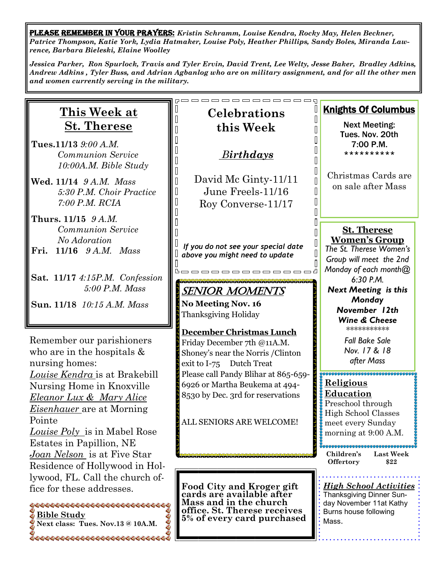PLEASE REMEMBER IN YOUR PRAYERS: *Kristin Schramm, Louise Kendra, Rocky May, Helen Beckner, Patrice Thompson, Katie York, Lydia Hatmaker, Louise Poly, Heather Phillips, Sandy Boles, Miranda Lawrence, Barbara Bieleski, Elaine Woolley*

*Jessica Parker, Ron Spurlock, Travis and Tyler Ervin, David Trent, Lee Welty, Jesse Baker, Bradley Adkins, Andrew Adkins , Tyler Buss, and Adrian Agbanlog who are on military assignment, and for all the other men and women currently serving in the military.* 

| <b>This Week at</b>                                                                                                                                                            | <b>Celebrations</b>                                                                                                                            | <b>Knights Of Columbus</b>                                                                                                |  |
|--------------------------------------------------------------------------------------------------------------------------------------------------------------------------------|------------------------------------------------------------------------------------------------------------------------------------------------|---------------------------------------------------------------------------------------------------------------------------|--|
| <b>St. Therese</b>                                                                                                                                                             | this Week                                                                                                                                      | <b>Next Meeting:</b>                                                                                                      |  |
| Tues.11/13 9:00 A.M.<br><b>Communion Service</b><br>10:00A.M. Bible Study                                                                                                      | <b>Birthdays</b>                                                                                                                               | Tues. Nov. 20th<br>7:00 P.M.<br>**********                                                                                |  |
| Wed. 11/14 9 A.M. Mass<br>5:30 P.M. Choir Practice<br>7:00 P.M. RCIA                                                                                                           | David Mc Ginty-11/11<br>June Freels-11/16<br>Roy Converse-11/17                                                                                | Christmas Cards are<br>on sale after Mass                                                                                 |  |
| Thurs. 11/15 9 A.M.<br><b>Communion Service</b><br>No Adoration<br>$11/16$ $9 A.M.$ Mass<br>Fri.                                                                               | If you do not see your special date<br>above you might need to update<br>----------                                                            | <b>St. Therese</b><br><b>Women's Group</b><br>The St. Therese Women's<br>Group will meet the 2nd<br>Monday of each month@ |  |
| Sat. 11/17 4:15P.M. Confession<br>5:00 P.M. Mass<br>Sun. 11/18 10:15 A.M. Mass                                                                                                 | <b>SENIOR MOMENTS</b><br><b>No Meeting Nov. 16</b><br>Thanksgiving Holiday                                                                     | 6:30 P.M.<br><b>Next Meeting is this</b><br>Monday<br>November 12th<br><b>Wine &amp; Cheese</b>                           |  |
| Remember our parishioners<br>who are in the hospitals $\&$<br>nursing homes:                                                                                                   | <b>December Christmas Lunch</b><br>Friday December 7th @11A.M.<br>Shoney's near the Norris / Clinton<br>exit to I-75 Dutch Treat               | ***********<br><b>Fall Bake Sale</b><br>Nov. 17 & 18<br>after Mass                                                        |  |
| Louise Kendra is at Brakebill<br>Nursing Home in Knoxville<br>Eleanor Lux & Mary Alice<br><i>Eisenhauer</i> are at Morning                                                     | Please call Pandy Blihar at 865-659-<br>6926 or Martha Beukema at 494-<br>8530 by Dec. 3rd for reservations                                    | Religious<br>Education<br>Preschool through<br><b>High School Classes</b>                                                 |  |
| Pointe<br>Louise Poly is in Mabel Rose<br>Estates in Papillion, NE                                                                                                             | ALL SENIORS ARE WELCOME!                                                                                                                       | meet every Sunday<br>morning at 9:00 A.M.<br>Children's<br><b>Last Week</b>                                               |  |
| Joan Nelson is at Five Star<br>Residence of Hollywood in Hol-                                                                                                                  |                                                                                                                                                | Offertory<br>\$22                                                                                                         |  |
| lywood, FL. Call the church of-<br>fice for these addresses.<br>444444444444444444444444444<br>Bible Study<br>Next class: Tues. Nov.13 @ 10A.M.<br>666666666666666666666666666 | Food City and Kroger gift<br>cards are available after<br>Mass and in the church<br>office. St. Therese receives<br>5% of every card purchased | <b>High School Activities</b><br>Thanksgiving Dinner Sun-<br>day November 11at Kathy<br>Burns house following<br>Mass.    |  |